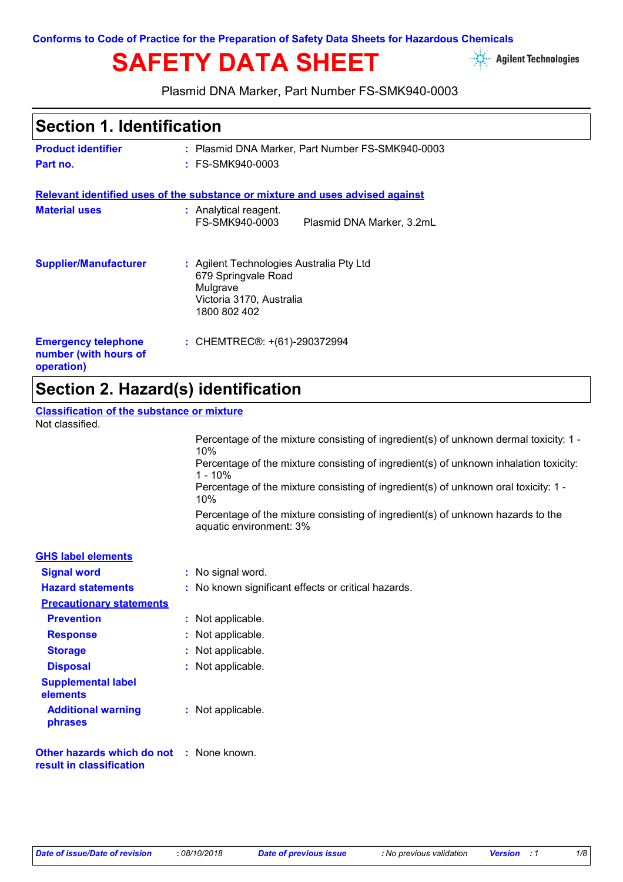**Conforms to Code of Practice for the Preparation of Safety Data Sheets for Hazardous Chemicals**

# **SAFETY DATA SHEET**

**Agilent Technologies** 

Plasmid DNA Marker, Part Number FS-SMK940-0003

### **Section 1. Identification**

| <b>Product identifier</b>                                         | : Plasmid DNA Marker, Part Number FS-SMK940-0003                                                                        |
|-------------------------------------------------------------------|-------------------------------------------------------------------------------------------------------------------------|
| Part no.                                                          | $:$ FS-SMK940-0003                                                                                                      |
|                                                                   | Relevant identified uses of the substance or mixture and uses advised against                                           |
| <b>Material uses</b>                                              | : Analytical reagent.<br>FS-SMK940-0003<br>Plasmid DNA Marker, 3.2mL                                                    |
| <b>Supplier/Manufacturer</b>                                      | : Agilent Technologies Australia Pty Ltd<br>679 Springvale Road<br>Mulgrave<br>Victoria 3170, Australia<br>1800 802 402 |
| <b>Emergency telephone</b><br>number (with hours of<br>operation) | : CHEMTREC®: +(61)-290372994                                                                                            |

# **Section 2. Hazard(s) identification**

**Classification of the substance or mixture** Not classified.

**result in classification**

|                                                 | Percentage of the mixture consisting of ingredient(s) of unknown dermal toxicity: 1 -<br>10%               |
|-------------------------------------------------|------------------------------------------------------------------------------------------------------------|
|                                                 | Percentage of the mixture consisting of ingredient(s) of unknown inhalation toxicity:<br>$1 - 10%$         |
|                                                 | Percentage of the mixture consisting of ingredient(s) of unknown oral toxicity: 1 -<br>10%                 |
|                                                 | Percentage of the mixture consisting of ingredient(s) of unknown hazards to the<br>aquatic environment: 3% |
| <b>GHS label elements</b>                       |                                                                                                            |
| <b>Signal word</b>                              | : No signal word.                                                                                          |
| <b>Hazard statements</b>                        | : No known significant effects or critical hazards.                                                        |
| <b>Precautionary statements</b>                 |                                                                                                            |
| <b>Prevention</b>                               | : Not applicable.                                                                                          |
| <b>Response</b>                                 | : Not applicable.                                                                                          |
| <b>Storage</b>                                  | : Not applicable.                                                                                          |
| <b>Disposal</b>                                 | : Not applicable.                                                                                          |
| <b>Supplemental label</b><br>elements           |                                                                                                            |
| <b>Additional warning</b><br>phrases            | : Not applicable.                                                                                          |
| <b>Other hazards which do not : None known.</b> |                                                                                                            |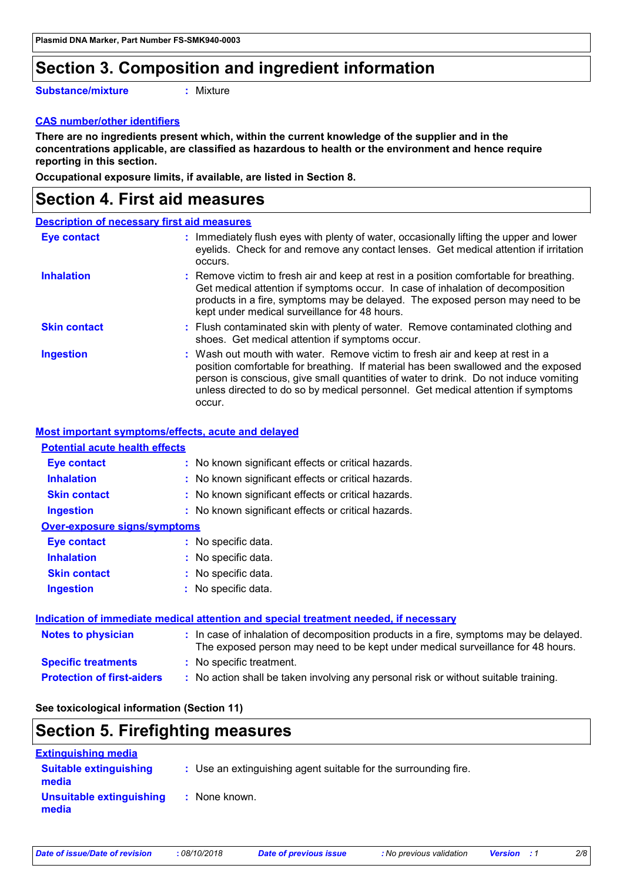### **Section 3. Composition and ingredient information**

**Substance/mixture**

**:** Mixture

### **CAS number/other identifiers**

**There are no ingredients present which, within the current knowledge of the supplier and in the concentrations applicable, are classified as hazardous to health or the environment and hence require reporting in this section.**

**Occupational exposure limits, if available, are listed in Section 8.**

### **Section 4. First aid measures**

### **Description of necessary first aid measures**

| Eye contact         | : Immediately flush eyes with plenty of water, occasionally lifting the upper and lower<br>eyelids. Check for and remove any contact lenses. Get medical attention if irritation<br>occurs.                                                                                                                                                               |
|---------------------|-----------------------------------------------------------------------------------------------------------------------------------------------------------------------------------------------------------------------------------------------------------------------------------------------------------------------------------------------------------|
| <b>Inhalation</b>   | : Remove victim to fresh air and keep at rest in a position comfortable for breathing.<br>Get medical attention if symptoms occur. In case of inhalation of decomposition<br>products in a fire, symptoms may be delayed. The exposed person may need to be<br>kept under medical surveillance for 48 hours.                                              |
| <b>Skin contact</b> | : Flush contaminated skin with plenty of water. Remove contaminated clothing and<br>shoes. Get medical attention if symptoms occur.                                                                                                                                                                                                                       |
| <b>Ingestion</b>    | : Wash out mouth with water. Remove victim to fresh air and keep at rest in a<br>position comfortable for breathing. If material has been swallowed and the exposed<br>person is conscious, give small quantities of water to drink. Do not induce vomiting<br>unless directed to do so by medical personnel. Get medical attention if symptoms<br>occur. |

#### **Most important symptoms/effects, acute and delayed**

#### **Potential acute health effects**

| <b>Eye contact</b>                  | : No known significant effects or critical hazards.                                                                                                                      |
|-------------------------------------|--------------------------------------------------------------------------------------------------------------------------------------------------------------------------|
| <b>Inhalation</b>                   | : No known significant effects or critical hazards.                                                                                                                      |
| <b>Skin contact</b>                 | : No known significant effects or critical hazards.                                                                                                                      |
| <b>Ingestion</b>                    | : No known significant effects or critical hazards.                                                                                                                      |
| <b>Over-exposure signs/symptoms</b> |                                                                                                                                                                          |
| <b>Eye contact</b>                  | : No specific data.                                                                                                                                                      |
| <b>Inhalation</b>                   | : No specific data.                                                                                                                                                      |
| <b>Skin contact</b>                 | : No specific data.                                                                                                                                                      |
| <b>Ingestion</b>                    | : No specific data.                                                                                                                                                      |
|                                     | Indication of immediate medical attention and special treatment needed, if necessary                                                                                     |
| <b>Notes to physician</b>           | : In case of inhalation of decomposition products in a fire, symptoms may be delayed.<br>The exposed person may need to be kept under medical surveillance for 48 hours. |
| <b>Specific treatments</b>          | : No specific treatment.                                                                                                                                                 |

**Protection of first-aiders :** No action shall be taken involving any personal risk or without suitable training.

#### **See toxicological information (Section 11)**

### **Section 5. Firefighting measures Extinguishing media**

| Блиндиюнный прим                       |                                                                 |
|----------------------------------------|-----------------------------------------------------------------|
| <b>Suitable extinguishing</b><br>media | : Use an extinguishing agent suitable for the surrounding fire. |
| Unsuitable extinguishing<br>media      | : None known.                                                   |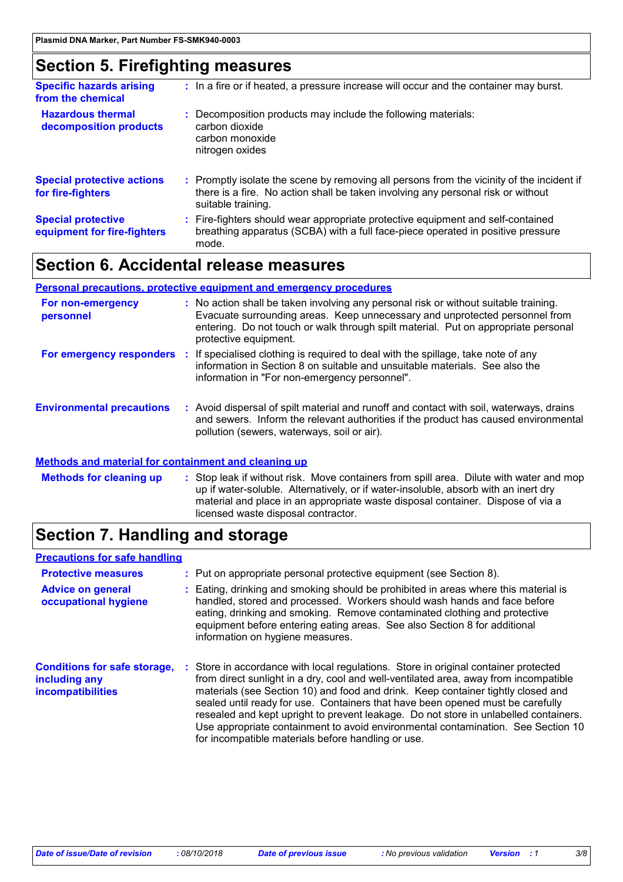### **Section 5. Firefighting measures**

| <b>Specific hazards arising</b><br>from the chemical     | : In a fire or if heated, a pressure increase will occur and the container may burst.                                                                                                               |
|----------------------------------------------------------|-----------------------------------------------------------------------------------------------------------------------------------------------------------------------------------------------------|
| <b>Hazardous thermal</b><br>decomposition products       | : Decomposition products may include the following materials:<br>carbon dioxide<br>carbon monoxide<br>nitrogen oxides                                                                               |
| <b>Special protective actions</b><br>for fire-fighters   | : Promptly isolate the scene by removing all persons from the vicinity of the incident if<br>there is a fire. No action shall be taken involving any personal risk or without<br>suitable training. |
| <b>Special protective</b><br>equipment for fire-fighters | : Fire-fighters should wear appropriate protective equipment and self-contained<br>breathing apparatus (SCBA) with a full face-piece operated in positive pressure<br>mode.                         |

### **Section 6. Accidental release measures**

#### **Personal precautions, protective equipment and emergency procedures**

| For non-emergency<br>personnel   | : No action shall be taken involving any personal risk or without suitable training.<br>Evacuate surrounding areas. Keep unnecessary and unprotected personnel from<br>entering. Do not touch or walk through spilt material. Put on appropriate personal<br>protective equipment. |
|----------------------------------|------------------------------------------------------------------------------------------------------------------------------------------------------------------------------------------------------------------------------------------------------------------------------------|
|                                  | <b>For emergency responders</b> : If specialised clothing is required to deal with the spillage, take note of any<br>information in Section 8 on suitable and unsuitable materials. See also the<br>information in "For non-emergency personnel".                                  |
| <b>Environmental precautions</b> | : Avoid dispersal of spilt material and runoff and contact with soil, waterways, drains<br>and sewers. Inform the relevant authorities if the product has caused environmental<br>pollution (sewers, waterways, soil or air).                                                      |

#### **Methods and material for containment and cleaning up**

Stop leak if without risk. Move containers from spill area. Dilute with water and mop up if water-soluble. Alternatively, or if water-insoluble, absorb with an inert dry material and place in an appropriate waste disposal container. Dispose of via a licensed waste disposal contractor. **Methods for cleaning up :**

### **Section 7. Handling and storage**

#### **Precautions for safe handling**

| <b>Protective measures</b><br><b>Advice on general</b><br>occupational hygiene | : Put on appropriate personal protective equipment (see Section 8).<br>: Eating, drinking and smoking should be prohibited in areas where this material is<br>handled, stored and processed. Workers should wash hands and face before<br>eating, drinking and smoking. Remove contaminated clothing and protective<br>equipment before entering eating areas. See also Section 8 for additional<br>information on hygiene measures.                                                                                                                                                |
|--------------------------------------------------------------------------------|-------------------------------------------------------------------------------------------------------------------------------------------------------------------------------------------------------------------------------------------------------------------------------------------------------------------------------------------------------------------------------------------------------------------------------------------------------------------------------------------------------------------------------------------------------------------------------------|
| <b>Conditions for safe storage,</b><br>including any<br>incompatibilities      | : Store in accordance with local regulations. Store in original container protected<br>from direct sunlight in a dry, cool and well-ventilated area, away from incompatible<br>materials (see Section 10) and food and drink. Keep container tightly closed and<br>sealed until ready for use. Containers that have been opened must be carefully<br>resealed and kept upright to prevent leakage. Do not store in unlabelled containers.<br>Use appropriate containment to avoid environmental contamination. See Section 10<br>for incompatible materials before handling or use. |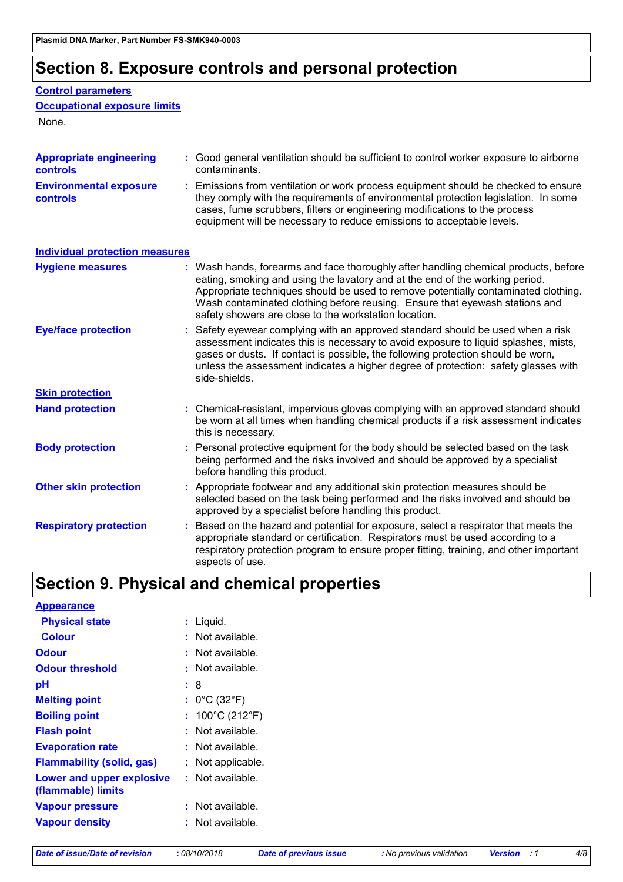# **Section 8. Exposure controls and personal protection**

### **Control parameters**

```
Occupational exposure limits
```
None.

| <b>Appropriate engineering</b><br>controls | : Good general ventilation should be sufficient to control worker exposure to airborne<br>contaminants.                                                                                                                                                                                                                                                                                           |
|--------------------------------------------|---------------------------------------------------------------------------------------------------------------------------------------------------------------------------------------------------------------------------------------------------------------------------------------------------------------------------------------------------------------------------------------------------|
| <b>Environmental exposure</b><br>controls  | : Emissions from ventilation or work process equipment should be checked to ensure<br>they comply with the requirements of environmental protection legislation. In some<br>cases, fume scrubbers, filters or engineering modifications to the process<br>equipment will be necessary to reduce emissions to acceptable levels.                                                                   |
| <b>Individual protection measures</b>      |                                                                                                                                                                                                                                                                                                                                                                                                   |
| <b>Hygiene measures</b>                    | : Wash hands, forearms and face thoroughly after handling chemical products, before<br>eating, smoking and using the lavatory and at the end of the working period.<br>Appropriate techniques should be used to remove potentially contaminated clothing.<br>Wash contaminated clothing before reusing. Ensure that eyewash stations and<br>safety showers are close to the workstation location. |
| <b>Eye/face protection</b>                 | : Safety eyewear complying with an approved standard should be used when a risk<br>assessment indicates this is necessary to avoid exposure to liquid splashes, mists,<br>gases or dusts. If contact is possible, the following protection should be worn,<br>unless the assessment indicates a higher degree of protection: safety glasses with<br>side-shields.                                 |
| <b>Skin protection</b>                     |                                                                                                                                                                                                                                                                                                                                                                                                   |
| <b>Hand protection</b>                     | : Chemical-resistant, impervious gloves complying with an approved standard should<br>be worn at all times when handling chemical products if a risk assessment indicates<br>this is necessary.                                                                                                                                                                                                   |
| <b>Body protection</b>                     | Personal protective equipment for the body should be selected based on the task<br>being performed and the risks involved and should be approved by a specialist<br>before handling this product.                                                                                                                                                                                                 |
| <b>Other skin protection</b>               | : Appropriate footwear and any additional skin protection measures should be<br>selected based on the task being performed and the risks involved and should be<br>approved by a specialist before handling this product.                                                                                                                                                                         |
| <b>Respiratory protection</b>              | : Based on the hazard and potential for exposure, select a respirator that meets the<br>appropriate standard or certification. Respirators must be used according to a<br>respiratory protection program to ensure proper fitting, training, and other important<br>aspects of use.                                                                                                               |

# **Section 9. Physical and chemical properties**

| <b>Appearance</b>                               |                                      |
|-------------------------------------------------|--------------------------------------|
| <b>Physical state</b>                           | Liquid.<br>t.                        |
| <b>Colour</b>                                   | Not available.                       |
| Odour                                           | Not available.                       |
| <b>Odour threshold</b>                          | Not available.                       |
| рH                                              | : 8                                  |
| <b>Melting point</b>                            | : $0^{\circ}$ C (32 $^{\circ}$ F)    |
| <b>Boiling point</b>                            | : $100^{\circ}$ C (212 $^{\circ}$ F) |
| <b>Flash point</b>                              | Not available.                       |
| <b>Evaporation rate</b>                         | : Not available.                     |
| <b>Flammability (solid, gas)</b>                | : Not applicable.                    |
| Lower and upper explosive<br>(flammable) limits | $:$ Not available.                   |
| <b>Vapour pressure</b>                          | $:$ Not available.                   |
| <b>Vapour density</b>                           | Not available.                       |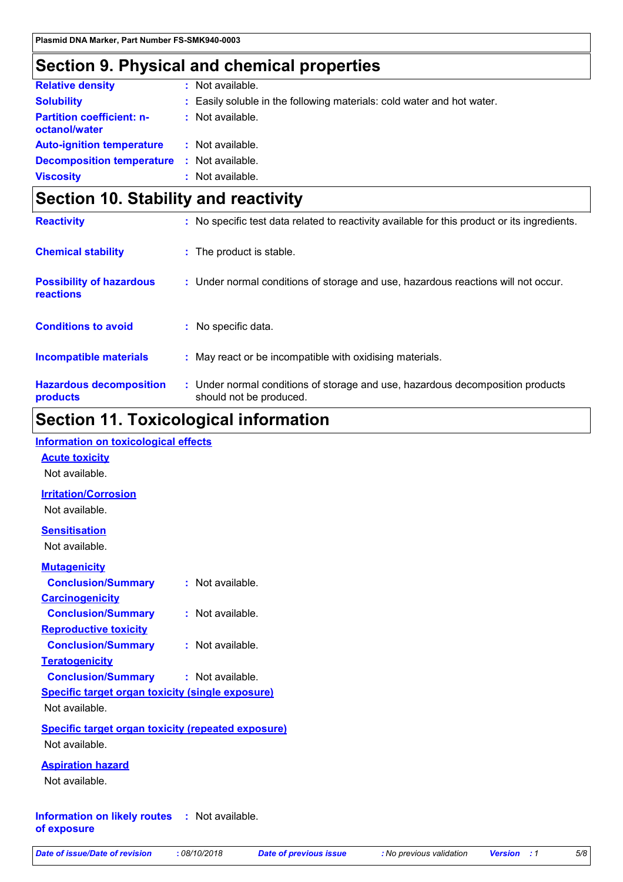## **Section 9. Physical and chemical properties**

| <b>Relative density</b>                           | : Not available.                                                       |
|---------------------------------------------------|------------------------------------------------------------------------|
| <b>Solubility</b>                                 | : Easily soluble in the following materials: cold water and hot water. |
| <b>Partition coefficient: n-</b><br>octanol/water | : Not available.                                                       |
| <b>Auto-ignition temperature : Not available.</b> |                                                                        |
| <b>Decomposition temperature :</b> Not available. |                                                                        |
| <b>Viscosity</b>                                  | : Not available.                                                       |
|                                                   |                                                                        |

# **Section 10. Stability and reactivity**

| <b>Reactivity</b>                                   | : No specific test data related to reactivity available for this product or its ingredients.              |
|-----------------------------------------------------|-----------------------------------------------------------------------------------------------------------|
| <b>Chemical stability</b>                           | : The product is stable.                                                                                  |
| <b>Possibility of hazardous</b><br><b>reactions</b> | : Under normal conditions of storage and use, hazardous reactions will not occur.                         |
| <b>Conditions to avoid</b>                          | : No specific data.                                                                                       |
| <b>Incompatible materials</b>                       | : May react or be incompatible with oxidising materials.                                                  |
| <b>Hazardous decomposition</b><br>products          | : Under normal conditions of storage and use, hazardous decomposition products<br>should not be produced. |

# **Section 11. Toxicological information**

### **Acute toxicity** Not available. **Carcinogenicity Conclusion/Summary :** Not available. **Mutagenicity Conclusion/Summary :** Not available. **Teratogenicity Conclusion/Summary :** Not available. **Reproductive toxicity Conclusion/Summary :** Not available. **Irritation/Corrosion** Not available. **Sensitisation** Not available. **Information on likely routes :** Not available. **of exposure Specific target organ toxicity (single exposure) Specific target organ toxicity (repeated exposure)** Not available. Not available. **Aspiration hazard** Not available. **Information on toxicological effects**

|  | Date of issue/Date of revision |  | : ረ |  |
|--|--------------------------------|--|-----|--|
|  |                                |  |     |  |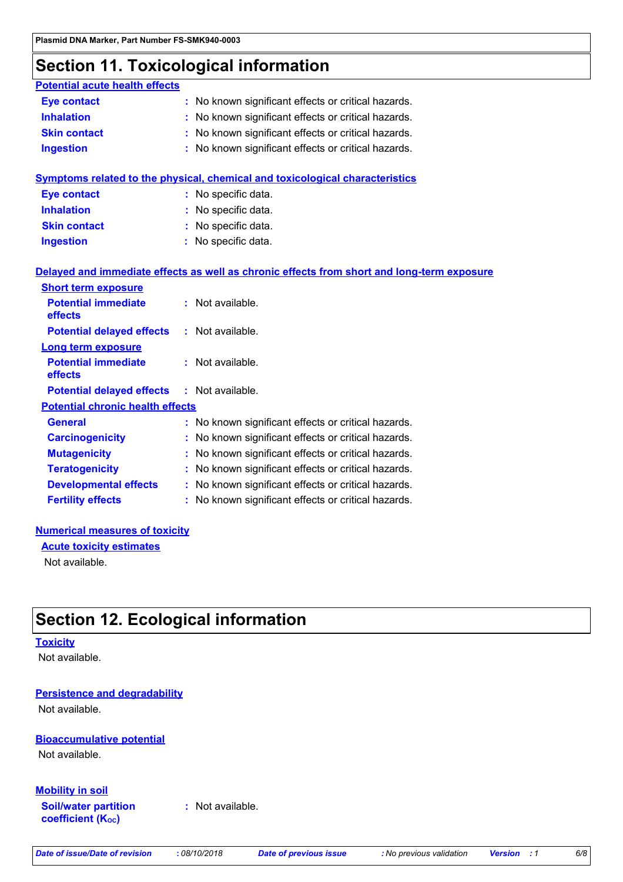### **Section 11. Toxicological information**

| <b>Potential acute health effects</b>   |                                                                                            |
|-----------------------------------------|--------------------------------------------------------------------------------------------|
| <b>Eye contact</b>                      | : No known significant effects or critical hazards.                                        |
| <b>Inhalation</b>                       | : No known significant effects or critical hazards.                                        |
| <b>Skin contact</b>                     | : No known significant effects or critical hazards.                                        |
| <b>Ingestion</b>                        | : No known significant effects or critical hazards.                                        |
|                                         | <b>Symptoms related to the physical, chemical and toxicological characteristics</b>        |
| <b>Eye contact</b>                      | : No specific data.                                                                        |
| <b>Inhalation</b>                       | : No specific data.                                                                        |
| <b>Skin contact</b>                     | No specific data.                                                                          |
| <b>Ingestion</b>                        | : No specific data.                                                                        |
| <b>Short term exposure</b>              | Delayed and immediate effects as well as chronic effects from short and long-term exposure |
| <b>Potential immediate</b><br>effects   | : Not available.                                                                           |
| <b>Potential delayed effects</b>        | : Not available.                                                                           |
| <b>Long term exposure</b>               |                                                                                            |
| <b>Potential immediate</b><br>effects   | : Not available.                                                                           |
| <b>Potential delayed effects</b>        | : Not available.                                                                           |
| <b>Potential chronic health effects</b> |                                                                                            |
| <b>General</b>                          | : No known significant effects or critical hazards.                                        |
| <b>Carcinogenicity</b>                  | : No known significant effects or critical hazards.                                        |
| <b>Mutagenicity</b>                     | : No known significant effects or critical hazards.                                        |
| <b>Teratogenicity</b>                   | : No known significant effects or critical hazards.                                        |
| <b>Developmental effects</b>            | : No known significant effects or critical hazards.                                        |
| <b>Fertility effects</b>                | : No known significant effects or critical hazards.                                        |

#### **Numerical measures of toxicity**

**Acute toxicity estimates**

Not available.

# **Section 12. Ecological information**

### **Toxicity**

Not available.

### **Persistence and degradability**

Not available.

### **Bioaccumulative potential**

Not available.

### **Mobility in soil**

**Soil/water partition coefficient (KOC)**

**:** Not available.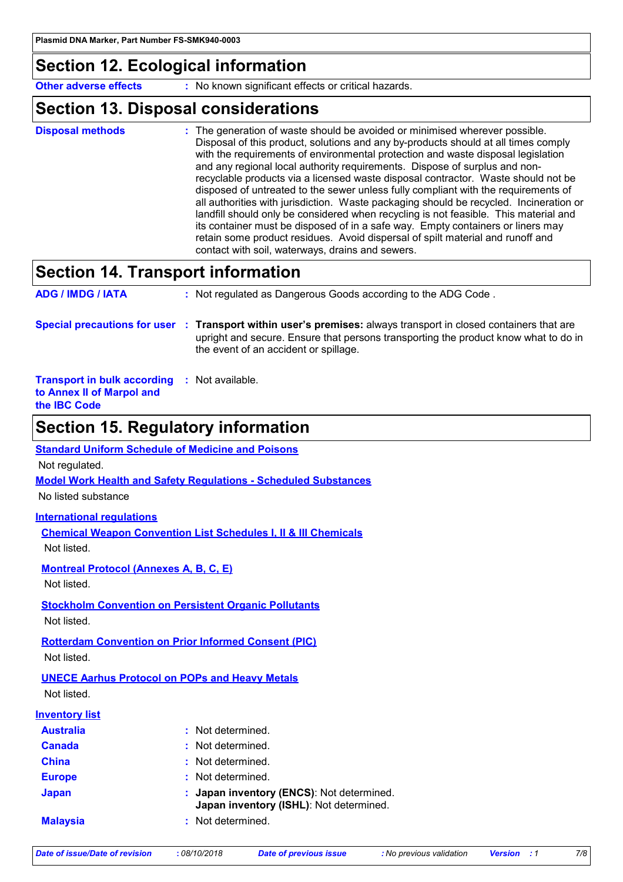### **Section 12. Ecological information**

**Other adverse effects** : No known significant effects or critical hazards.

### **Section 13. Disposal considerations**

The generation of waste should be avoided or minimised wherever possible. Disposal of this product, solutions and any by-products should at all times comply with the requirements of environmental protection and waste disposal legislation and any regional local authority requirements. Dispose of surplus and nonrecyclable products via a licensed waste disposal contractor. Waste should not be disposed of untreated to the sewer unless fully compliant with the requirements of all authorities with jurisdiction. Waste packaging should be recycled. Incineration or landfill should only be considered when recycling is not feasible. This material and its container must be disposed of in a safe way. Empty containers or liners may retain some product residues. Avoid dispersal of spilt material and runoff and contact with soil, waterways, drains and sewers. **Disposal methods :**

# **Section 14. Transport information**

| <b>ADG / IMDG / IATA</b>                                        | : Not regulated as Dangerous Goods according to the ADG Code.                                                                                                                                                                                   |
|-----------------------------------------------------------------|-------------------------------------------------------------------------------------------------------------------------------------------------------------------------------------------------------------------------------------------------|
|                                                                 | Special precautions for user : Transport within user's premises: always transport in closed containers that are<br>upright and secure. Ensure that persons transporting the product know what to do in<br>the event of an accident or spillage. |
| <b>Transport in bulk according</b><br>to Annex II of Marpol and | : Not available.                                                                                                                                                                                                                                |

```
the IBC Code
```
### **Section 15. Regulatory information**

#### **Standard Uniform Schedule of Medicine and Poisons**

Not regulated.

**Model Work Health and Safety Regulations - Scheduled Substances**

No listed substance

#### **International regulations**

**Chemical Weapon Convention List Schedules I, II & III Chemicals** Not listed.

#### **Montreal Protocol (Annexes A, B, C, E)**

Not listed.

#### **Stockholm Convention on Persistent Organic Pollutants** Not listed.

**Rotterdam Convention on Prior Informed Consent (PIC)**

Not listed.

# **UNECE Aarhus Protocol on POPs and Heavy Metals**

Not listed.

### **Inventory list**

| <b>Australia</b> | : Not determined.                                                                    |
|------------------|--------------------------------------------------------------------------------------|
| <b>Canada</b>    | : Not determined.                                                                    |
| <b>China</b>     | : Not determined.                                                                    |
| <b>Europe</b>    | : Not determined.                                                                    |
| Japan            | : Japan inventory (ENCS): Not determined.<br>Japan inventory (ISHL): Not determined. |
| <b>Malaysia</b>  | : Not determined.                                                                    |